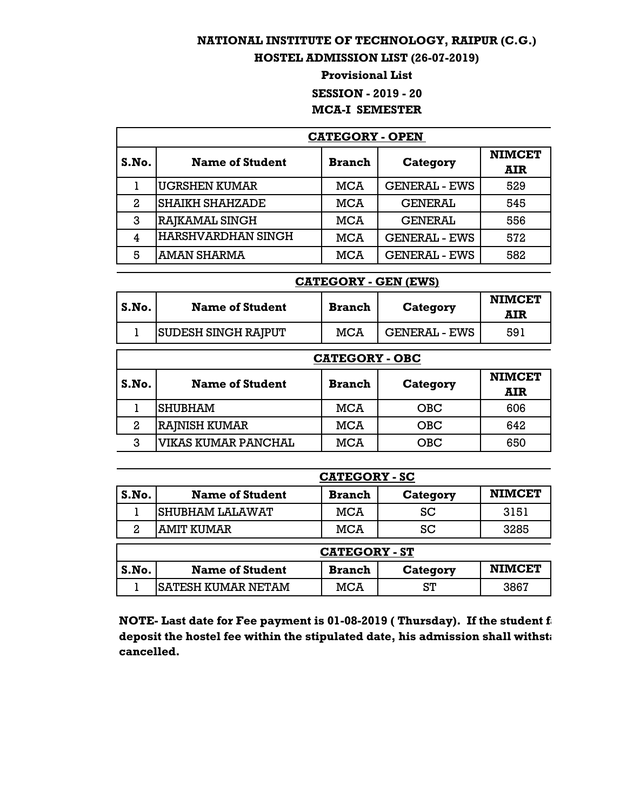## **NATIONAL INSTITUTE OF TECHNOLOGY, RAIPUR (C.G.)**

## **HOSTEL ADMISSION LIST (26-07-2019)**

## **Provisional List SESSION - 2019 - 20 MCA-I SEMESTER**

| <b>CATEGORY - OPEN</b> |                           |               |                      |                             |
|------------------------|---------------------------|---------------|----------------------|-----------------------------|
| S.No.                  | <b>Name of Student</b>    | <b>Branch</b> | Category             | <b>NIMCET</b><br><b>AIR</b> |
|                        | <b>UGRSHEN KUMAR</b>      | <b>MCA</b>    | <b>GENERAL - EWS</b> | 529                         |
| 2                      | <b>SHAIKH SHAHZADE</b>    | <b>MCA</b>    | <b>GENERAL</b>       | 545                         |
| 3                      | RAJKAMAL SINGH            | <b>MCA</b>    | <b>GENERAL</b>       | 556                         |
| 4                      | <b>HARSHVARDHAN SINGH</b> | <b>MCA</b>    | <b>GENERAL - EWS</b> | 572                         |
| 5                      | <b>AMAN SHARMA</b>        | <b>MCA</b>    | <b>GENERAL - EWS</b> | 582                         |

|       | <b>CATEGORY - GEN (EWS)</b> |               |                      |                             |  |
|-------|-----------------------------|---------------|----------------------|-----------------------------|--|
| S.No. | <b>Name of Student</b>      | <b>Branch</b> | Category             | <b>NIMCET</b><br><b>AIR</b> |  |
| ı     | <b>SUDESH SINGH RAJPUT</b>  | <b>MCA</b>    | <b>GENERAL - EWS</b> | 591                         |  |
|       | <b>CATEGORY - OBC</b>       |               |                      |                             |  |
| S.No. | <b>Name of Student</b>      | <b>Branch</b> | Category             | <b>NIMCET</b><br><b>AIR</b> |  |
|       | <b>SHUBHAM</b>              | MCA           | <b>OBC</b>           | 606                         |  |
| 2     | RAJNISH KUMAR               | MCA           | <b>OBC</b>           | 642                         |  |
| 3     | VIKAS KUMAR PANCHAL         | <b>MCA</b>    | <b>OBC</b>           | 650                         |  |

|       |                           | <b>CATEGORY - SC</b> |          |               |
|-------|---------------------------|----------------------|----------|---------------|
| S.No. | <b>Name of Student</b>    | <b>Branch</b>        | Category | <b>NIMCET</b> |
|       | SHUBHAM LALAWAT           | MCA                  | SC       | 3151          |
| 2     | <b>AMIT KUMAR</b>         | <b>MCA</b>           | SC       | 3285          |
|       |                           | <b>CATEGORY - ST</b> |          |               |
| S.No. | <b>Name of Student</b>    | <b>Branch</b>        | Category | <b>NIMCET</b> |
|       | <b>SATESH KUMAR NETAM</b> | <b>MCA</b>           | ST       | 3867          |

**NOTE- Last date for Fee payment is 01-08-2019 (Thursday). If the student fails of** deposit the hostel fee within the stipulated date, his admission shall withstand **as a state as a** *deposit* the **cancelled.**